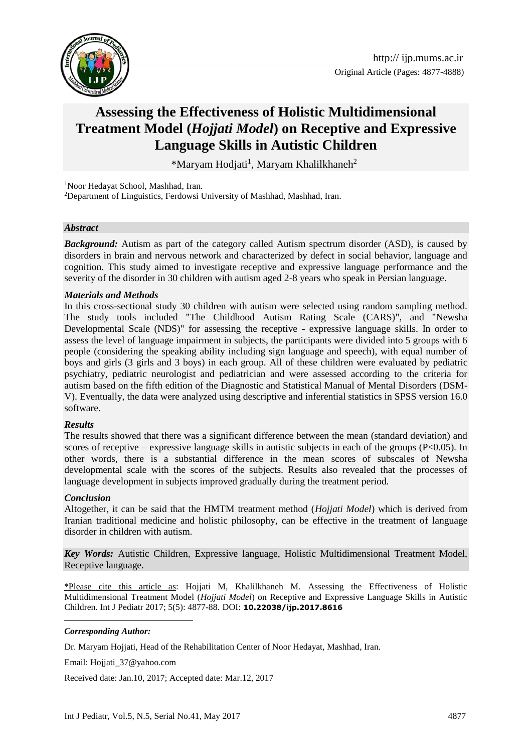

# **Assessing the Effectiveness of Holistic Multidimensional Treatment Model (***Hojjati Model***) on Receptive and Expressive Language Skills in Autistic Children**

\*Maryam Hodjati<sup>1</sup>, Maryam Khalilkhaneh<sup>2</sup>

<sup>1</sup>Noor Hedayat School, Mashhad, Iran. <sup>2</sup>Department of Linguistics, Ferdowsi University of Mashhad, Mashhad, Iran.

#### *Abstract*

**Background:** Autism as part of the category called Autism spectrum disorder (ASD), is caused by disorders in brain and nervous network and characterized by defect in social behavior, language and cognition. This study aimed to investigate receptive and expressive language performance and the severity of the disorder in 30 children with autism aged 2-8 years who speak in Persian language.

#### *Materials and Methods*

In this cross-sectional study 30 children with autism were selected using random sampling method. The study tools included "The Childhood Autism Rating Scale (CARS)", and "Newsha Developmental Scale (NDS)" for assessing the receptive - expressive language skills. In order to assess the level of language impairment in subjects, the participants were divided into 5 groups with 6 people (considering the speaking ability including sign language and speech), with equal number of boys and girls (3 girls and 3 boys) in each group. All of these children were evaluated by pediatric psychiatry, pediatric neurologist and pediatrician and were assessed according to the criteria for autism based on the fifth edition of the Diagnostic and Statistical Manual of Mental Disorders (DSM-V). Eventually, the data were analyzed using descriptive and inferential statistics in SPSS version 16.0 software.

#### *Results*

The results showed that there was a significant difference between the mean (standard deviation) and scores of receptive – expressive language skills in autistic subjects in each of the groups ( $P < 0.05$ ). In other words, there is a substantial difference in the mean scores of subscales of Newsha developmental scale with the scores of the subjects. Results also revealed that the processes of language development in subjects improved gradually during the treatment period.

### *Conclusion*

Altogether, it can be said that the HMTM treatment method (*Hojjati Model*) which is derived from Iranian traditional medicine and holistic philosophy, can be effective in the treatment of language disorder in children with autism.

*Key Words:* Autistic Children, Expressive language, Holistic Multidimensional Treatment Model, Receptive language.

\*Please cite this article as: Hojjati M, Khalilkhaneh M. Assessing the Effectiveness of Holistic Multidimensional Treatment Model (*Hojjati Model*) on Receptive and Expressive Language Skills in Autistic Children. Int J Pediatr 2017; 5(5): 4877-88. DOI: **10.22038/ijp.2017.8616**

#### *Corresponding Author:*

1

Dr. Maryam Hojjati, Head of the Rehabilitation Center of Noor Hedayat, Mashhad, Iran.

Email: Hojjati\_37@yahoo.com

Received date: Jan.10, 2017; Accepted date: Mar.12, 2017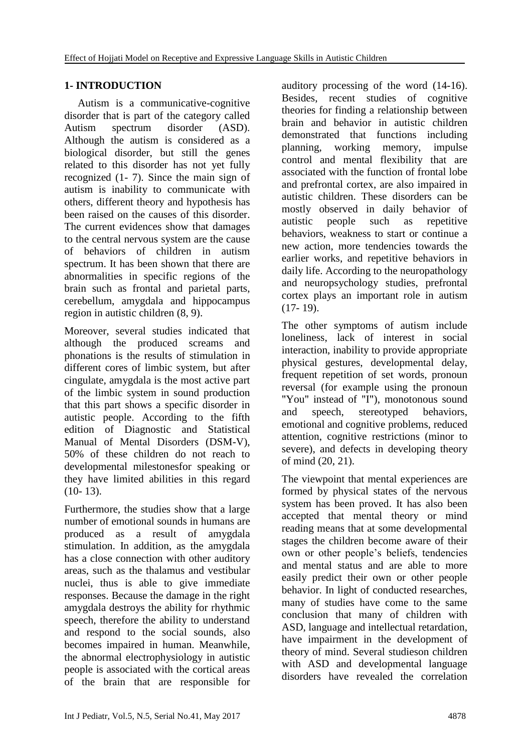### **1- INTRODUCTION**

 Autism is a communicative-cognitive disorder that is part of the category called Autism spectrum disorder (ASD). Although the autism is considered as a biological disorder, but still the genes related to this disorder has not yet fully recognized (1- 7). Since the main sign of autism is inability to communicate with others, different theory and hypothesis has been raised on the causes of this disorder. The current evidences show that damages to the central nervous system are the cause of behaviors of children in autism spectrum. It has been shown that there are abnormalities in specific regions of the brain such as frontal and parietal parts, cerebellum, amygdala and hippocampus region in autistic children (8, 9).

Moreover, several studies indicated that although the produced screams and phonations is the results of stimulation in different cores of limbic system, but after cingulate, amygdala is the most active part of the limbic system in sound production that this part shows a specific disorder in autistic people. According to the fifth edition of Diagnostic and Statistical Manual of Mental Disorders (DSM-V), 50% of these children do not reach to developmental milestonesfor speaking or they have limited abilities in this regard (10- 13).

Furthermore, the studies show that a large number of emotional sounds in humans are produced as a result of amygdala stimulation. In addition, as the amygdala has a close connection with other auditory areas, such as the thalamus and vestibular nuclei, thus is able to give immediate responses. Because the damage in the right amygdala destroys the ability for rhythmic speech, therefore the ability to understand and respond to the social sounds, also becomes impaired in human. Meanwhile, the abnormal electrophysiology in autistic people is associated with the cortical areas of the brain that are responsible for

auditory processing of the word (14-16). Besides, recent studies of cognitive theories for finding a relationship between brain and behavior in autistic children demonstrated that functions including planning, working memory, impulse control and mental flexibility that are associated with the function of frontal lobe and prefrontal cortex, are also impaired in autistic children. These disorders can be mostly observed in daily behavior of autistic people such as repetitive behaviors, weakness to start or continue a new action, more tendencies towards the earlier works, and repetitive behaviors in daily life. According to the neuropathology and neuropsychology studies, prefrontal cortex plays an important role in autism (17- 19).

The other symptoms of autism include loneliness, lack of interest in social interaction, inability to provide appropriate physical gestures, developmental delay, frequent repetition of set words, pronoun reversal (for example using the pronoun "You" instead of "I"), monotonous sound and speech, stereotyped behaviors, emotional and cognitive problems, reduced attention, cognitive restrictions (minor to severe), and defects in developing theory of mind (20, 21).

The viewpoint that mental experiences are formed by physical states of the nervous system has been proved. It has also been accepted that mental theory or mind reading means that at some developmental stages the children become aware of their own or other people's beliefs, tendencies and mental status and are able to more easily predict their own or other people behavior. In light of conducted researches, many of studies have come to the same conclusion that many of children with ASD, language and intellectual retardation, have impairment in the development of theory of mind. Several studieson children with ASD and developmental language disorders have revealed the correlation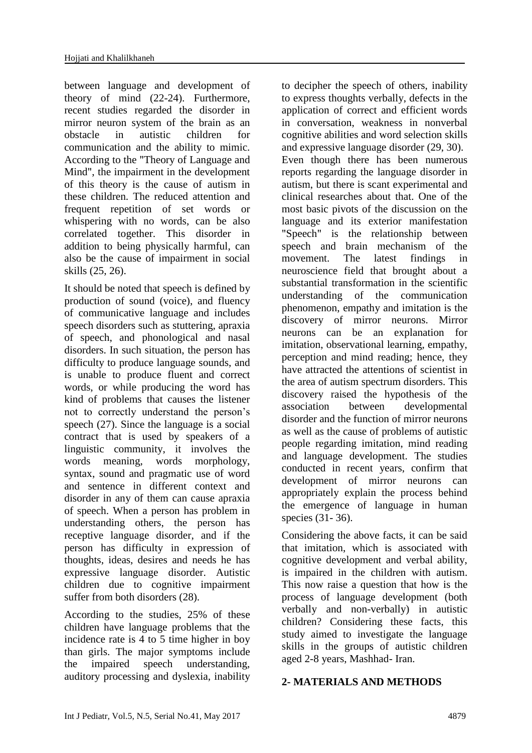between language and development of theory of mind (22-24). Furthermore, recent studies regarded the disorder in mirror neuron system of the brain as an obstacle in autistic children for communication and the ability to mimic. According to the "Theory of Language and Mind", the impairment in the development of this theory is the cause of autism in these children. The reduced attention and frequent repetition of set words or whispering with no words, can be also correlated together. This disorder in addition to being physically harmful, can also be the cause of impairment in social skills (25, 26).

It should be noted that speech is defined by production of sound (voice), and fluency of communicative language and includes speech disorders such as stuttering, apraxia of speech, and phonological and nasal disorders. In such situation, the person has difficulty to produce language sounds, and is unable to produce fluent and correct words, or while producing the word has kind of problems that causes the listener not to correctly understand the person's speech (27). Since the language is a social contract that is used by speakers of a linguistic community, it involves the words meaning, words morphology, syntax, sound and pragmatic use of word and sentence in different context and disorder in any of them can cause apraxia of speech. When a person has problem in understanding others, the person has receptive language disorder, and if the person has difficulty in expression of thoughts, ideas, desires and needs he has expressive language disorder. Autistic children due to cognitive impairment suffer from both disorders (28).

According to the studies, 25% of these children have language problems that the incidence rate is 4 to 5 time higher in boy than girls. The major symptoms include the impaired speech understanding, auditory processing and dyslexia, inability to decipher the speech of others, inability to express thoughts verbally, defects in the application of correct and efficient words in conversation, weakness in nonverbal cognitive abilities and word selection skills and expressive language disorder (29, 30). Even though there has been numerous reports regarding the language disorder in autism, but there is scant experimental and clinical researches about that. One of the most basic pivots of the discussion on the language and its exterior manifestation "Speech" is the relationship between speech and brain mechanism of the movement. The latest findings in neuroscience field that brought about a substantial transformation in the scientific understanding of the communication phenomenon, empathy and imitation is the discovery of mirror neurons. Mirror neurons can be an explanation for imitation, observational learning, empathy, perception and mind reading; hence, they have attracted the attentions of scientist in the area of autism spectrum disorders. This discovery raised the hypothesis of the association between developmental disorder and the function of mirror neurons as well as the cause of problems of autistic people regarding imitation, mind reading and language development. The studies conducted in recent years, confirm that development of mirror neurons can appropriately explain the process behind the emergence of language in human species (31- 36).

Considering the above facts, it can be said that imitation, which is associated with cognitive development and verbal ability, is impaired in the children with autism. This now raise a question that how is the process of language development (both verbally and non-verbally) in autistic children? Considering these facts, this study aimed to investigate the language skills in the groups of autistic children aged 2-8 years, Mashhad- Iran.

### **2- MATERIALS AND METHODS**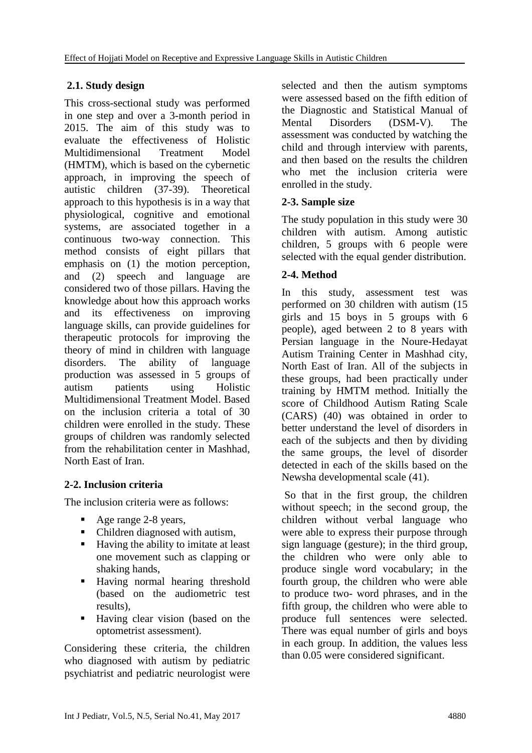# **2.1. Study design**

This cross-sectional study was performed in one step and over a 3-month period in 2015. The aim of this study was to evaluate the effectiveness of Holistic Multidimensional Treatment Model (HMTM), which is based on the cybernetic approach, in improving the speech of autistic children (37-39). Theoretical approach to this hypothesis is in a way that physiological, cognitive and emotional systems, are associated together in a continuous two-way connection. This method consists of eight pillars that emphasis on (1) the motion perception, and (2) speech and language are considered two of those pillars. Having the knowledge about how this approach works and its effectiveness on improving language skills, can provide guidelines for therapeutic protocols for improving the theory of mind in children with language disorders. The ability of language production was assessed in 5 groups of autism patients using Holistic Multidimensional Treatment Model. Based on the inclusion criteria a total of 30 children were enrolled in the study. These groups of children was randomly selected from the rehabilitation center in Mashhad, North East of Iran.

# **2-2. Inclusion criteria**

The inclusion criteria were as follows:

- Age range 2-8 years,
- Children diagnosed with autism,
- Having the ability to imitate at least one movement such as clapping or shaking hands,
- Having normal hearing threshold (based on the audiometric test results),
- Having clear vision (based on the optometrist assessment).

Considering these criteria, the children who diagnosed with autism by pediatric psychiatrist and pediatric neurologist were selected and then the autism symptoms were assessed based on the fifth edition of the Diagnostic and Statistical Manual of Mental Disorders (DSM-V). The assessment was conducted by watching the child and through interview with parents, and then based on the results the children who met the inclusion criteria were enrolled in the study.

### **2-3. Sample size**

The study population in this study were 30 children with autism. Among autistic children, 5 groups with 6 people were selected with the equal gender distribution.

## **2-4. Method**

In this study, assessment test was performed on 30 children with autism (15 girls and 15 boys in 5 groups with 6 people), aged between 2 to 8 years with Persian language in the Noure-Hedayat Autism Training Center in Mashhad city, North East of Iran. All of the subjects in these groups, had been practically under training by HMTM method. Initially the score of Childhood Autism Rating Scale (CARS) (40) was obtained in order to better understand the level of disorders in each of the subjects and then by dividing the same groups, the level of disorder detected in each of the skills based on the Newsha developmental scale (41).

So that in the first group, the children without speech; in the second group, the children without verbal language who were able to express their purpose through sign language (gesture); in the third group, the children who were only able to produce single word vocabulary; in the fourth group, the children who were able to produce two- word phrases, and in the fifth group, the children who were able to produce full sentences were selected. There was equal number of girls and boys in each group. In addition, the values less than 0.05 were considered significant.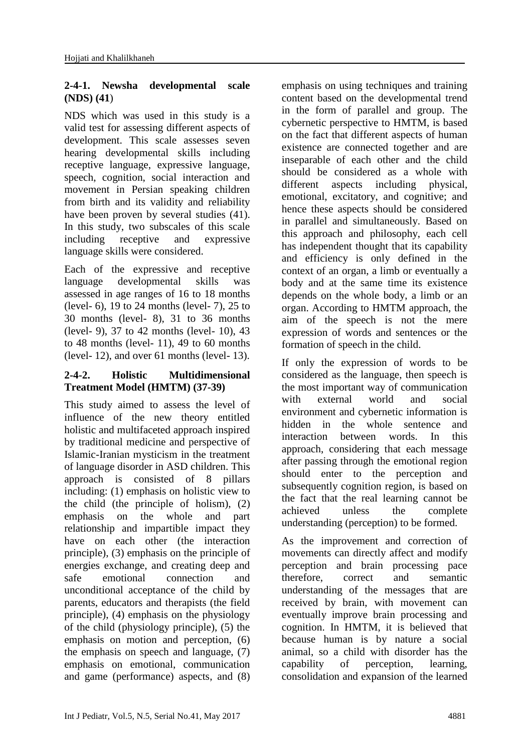### **2-4-1. Newsha developmental scale (NDS) (41**)

NDS which was used in this study is a valid test for assessing different aspects of development. This scale assesses seven hearing developmental skills including receptive language, expressive language, speech, cognition, social interaction and movement in Persian speaking children from birth and its validity and reliability have been proven by several studies (41). In this study, two subscales of this scale including receptive and expressive language skills were considered.

Each of the expressive and receptive language developmental skills was assessed in age ranges of 16 to 18 months (level- 6), 19 to 24 months (level- 7), 25 to 30 months (level- 8), 31 to 36 months (level- 9), 37 to 42 months (level- 10), 43 to 48 months (level- 11), 49 to 60 months (level- 12), and over 61 months (level- 13).

### **2-4-2. Holistic Multidimensional Treatment Model (HMTM) (37-39)**

This study aimed to assess the level of influence of the new theory entitled holistic and multifaceted approach inspired by traditional medicine and perspective of Islamic-Iranian mysticism in the treatment of language disorder in ASD children. This approach is consisted of 8 pillars including: (1) emphasis on holistic view to the child (the principle of holism), (2) emphasis on the whole and part relationship and impartible impact they have on each other (the interaction principle), (3) emphasis on the principle of energies exchange, and creating deep and safe emotional connection and unconditional acceptance of the child by parents, educators and therapists (the field principle), (4) emphasis on the physiology of the child (physiology principle), (5) the emphasis on motion and perception, (6) the emphasis on speech and language, (7) emphasis on emotional, communication and game (performance) aspects, and (8)

emphasis on using techniques and training content based on the developmental trend in the form of parallel and group. The cybernetic perspective to HMTM, is based on the fact that different aspects of human existence are connected together and are inseparable of each other and the child should be considered as a whole with different aspects including physical, emotional, excitatory, and cognitive; and hence these aspects should be considered in parallel and simultaneously. Based on this approach and philosophy, each cell has independent thought that its capability and efficiency is only defined in the context of an organ, a limb or eventually a body and at the same time its existence depends on the whole body, a limb or an organ. According to HMTM approach, the aim of the speech is not the mere expression of words and sentences or the formation of speech in the child.

If only the expression of words to be considered as the language, then speech is the most important way of communication with external world and social environment and cybernetic information is hidden in the whole sentence and interaction between words. In this approach, considering that each message after passing through the emotional region should enter to the perception and subsequently cognition region, is based on the fact that the real learning cannot be achieved unless the complete understanding (perception) to be formed.

As the improvement and correction of movements can directly affect and modify perception and brain processing pace therefore, correct and semantic understanding of the messages that are received by brain, with movement can eventually improve brain processing and cognition. In HMTM, it is believed that because human is by nature a social animal, so a child with disorder has the capability of perception, learning, consolidation and expansion of the learned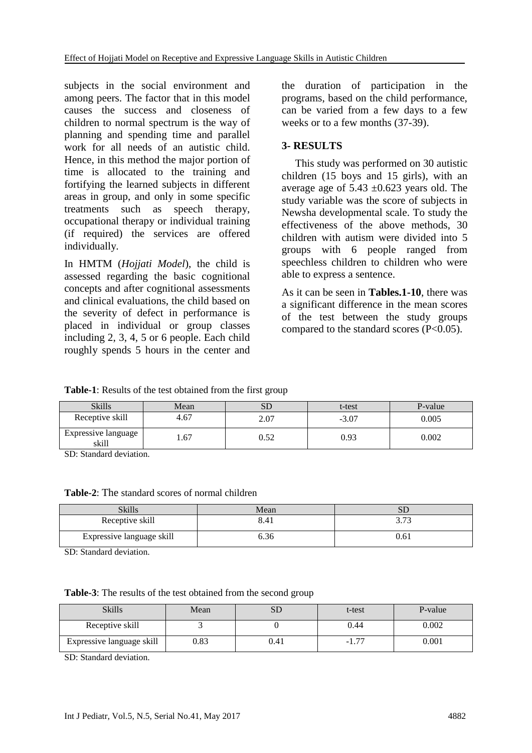subjects in the social environment and among peers. The factor that in this model causes the success and closeness of children to normal spectrum is the way of planning and spending time and parallel work for all needs of an autistic child. Hence, in this method the major portion of time is allocated to the training and fortifying the learned subjects in different areas in group, and only in some specific treatments such as speech therapy, occupational therapy or individual training (if required) the services are offered individually.

In HMTM (*Hojjati Model*), the child is assessed regarding the basic cognitional concepts and after cognitional assessments and clinical evaluations, the child based on the severity of defect in performance is placed in individual or group classes including 2, 3, 4, 5 or 6 people. Each child roughly spends 5 hours in the center and

the duration of participation in the programs, based on the child performance, can be varied from a few days to a few weeks or to a few months (37-39).

### **3- RESULTS**

 This study was performed on 30 autistic children (15 boys and 15 girls), with an average age of  $5.43 \pm 0.623$  years old. The study variable was the score of subjects in Newsha developmental scale. To study the effectiveness of the above methods, 30 children with autism were divided into 5 groups with 6 people ranged from speechless children to children who were able to express a sentence.

As it can be seen in **Tables.1-10**, there was a significant difference in the mean scores of the test between the study groups compared to the standard scores  $(P<0.05)$ .

**Table-1**: Results of the test obtained from the first group

| <b>Skills</b>                | Mean |      | t-test  | P-value |
|------------------------------|------|------|---------|---------|
| Receptive skill              | 4.67 | 2.07 | $-3.07$ | 0.005   |
| Expressive language<br>skill | 1.67 | ).52 | 0.93    | 0.002   |

SD: Standard deviation.

**Table-2**: The standard scores of normal children

| Skills                    | Mean  | ΩL   |
|---------------------------|-------|------|
| Receptive skill           | 8.41  | 272  |
| Expressive language skill | o. 30 | 0.61 |

SD: Standard deviation.

| <b>Table-3:</b> The results of the test obtained from the second group |  |  |
|------------------------------------------------------------------------|--|--|
|                                                                        |  |  |

| <b>Skills</b>             | Mean | ىرد  | t-test               | P-value |
|---------------------------|------|------|----------------------|---------|
| Receptive skill           |      |      | 0.44                 | 0.002   |
| Expressive language skill | 0.83 | ).41 | $\overline{a}$<br>-1 | 0.001   |

SD: Standard deviation.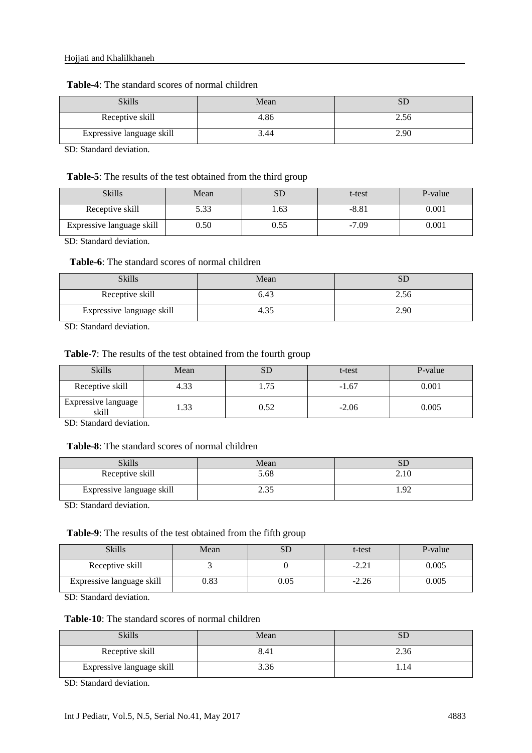| <b>Table-4:</b> The standard scores of normal children |  |
|--------------------------------------------------------|--|
|--------------------------------------------------------|--|

| Skills                    | Mean | SD   |
|---------------------------|------|------|
| Receptive skill           | 4.86 | 2.56 |
| Expressive language skill | 3.44 | 2.90 |

SD: Standard deviation.

#### **Table-5**: The results of the test obtained from the third group

| <b>Skills</b>             | Mean | SD   | t-test  | P-value |
|---------------------------|------|------|---------|---------|
| Receptive skill           | 5.33 | .63  | $-8.81$ | 0.001   |
| Expressive language skill | 0.50 | 0.55 | $-7.09$ | 0.001   |

SD: Standard deviation.

### Table-6: The standard scores of normal children

| <b>Skills</b>             | Mean | SГ   |
|---------------------------|------|------|
| Receptive skill           | 6.43 | 2.56 |
| Expressive language skill |      | 2.90 |

SD: Standard deviation.

#### **Table-7**: The results of the test obtained from the fourth group

| <b>Skills</b>                | Mean |      | t-test  | P-value |
|------------------------------|------|------|---------|---------|
| Receptive skill              | 4.33 | .75  | $-1.67$ | 0.001   |
| Expressive language<br>skill | .33  | 0.52 | $-2.06$ | 0.005   |

SD: Standard deviation.

### **Table-8**: The standard scores of normal children

| Skills                    | Mean | SГ   |
|---------------------------|------|------|
| Receptive skill           | 5.68 | 2.10 |
| Expressive language skill | ت ب  | ェ・フム |

SD: Standard deviation.

#### **Table-9**: The results of the test obtained from the fifth group

| <b>Skills</b>             | Mean | $\alpha$ T<br>עט | t-test  | P-value |
|---------------------------|------|------------------|---------|---------|
| Receptive skill           |      |                  | -4.41   | 0.005   |
| Expressive language skill | 0.83 | 0.05             | $-2.26$ | 0.005   |

SD: Standard deviation.

#### **Table-10**: The standard scores of normal children

| Skills                    | Mean | SĽ   |
|---------------------------|------|------|
| Receptive skill           | 8.41 | 2.36 |
| Expressive language skill | 3.36 | 1.14 |

SD: Standard deviation.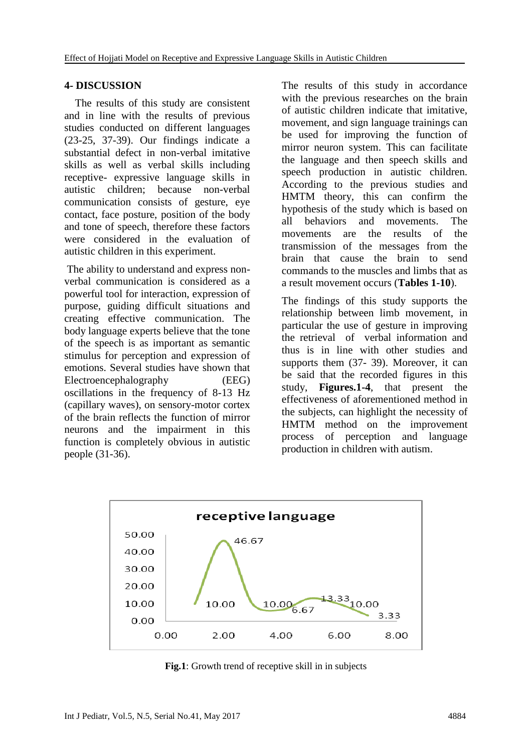### **4- DISCUSSION**

 The results of this study are consistent and in line with the results of previous studies conducted on different languages (23-25, 37-39). Our findings indicate a substantial defect in non-verbal imitative skills as well as verbal skills including receptive- expressive language skills in autistic children; because non-verbal communication consists of gesture, eye contact, face posture, position of the body and tone of speech, therefore these factors were considered in the evaluation of autistic children in this experiment.

The ability to understand and express nonverbal communication is considered as a powerful tool for interaction, expression of purpose, guiding difficult situations and creating effective communication. The body language experts believe that the tone of the speech is as important as semantic stimulus for perception and expression of emotions. Several studies have shown that Electroencephalography (EEG) oscillations in the frequency of 8-13 Hz (capillary waves), on sensory-motor cortex of the brain reflects the function of mirror neurons and the impairment in this function is completely obvious in autistic people (31-36).

The results of this study in accordance with the previous researches on the brain of autistic children indicate that imitative, movement, and sign language trainings can be used for improving the function of mirror neuron system. This can facilitate the language and then speech skills and speech production in autistic children. According to the previous studies and HMTM theory, this can confirm the hypothesis of the study which is based on all behaviors and movements. The movements are the results of the transmission of the messages from the brain that cause the brain to send commands to the muscles and limbs that as a result movement occurs (**Tables 1-10**).

The findings of this study supports the relationship between limb movement, in particular the use of gesture in improving the retrieval of verbal information and thus is in line with other studies and supports them (37- 39). Moreover, it can be said that the recorded figures in this study, **Figures.1-4**, that present the effectiveness of aforementioned method in the subjects, can highlight the necessity of HMTM method on the improvement process of perception and language production in children with autism.



**Fig.1**: Growth trend of receptive skill in in subjects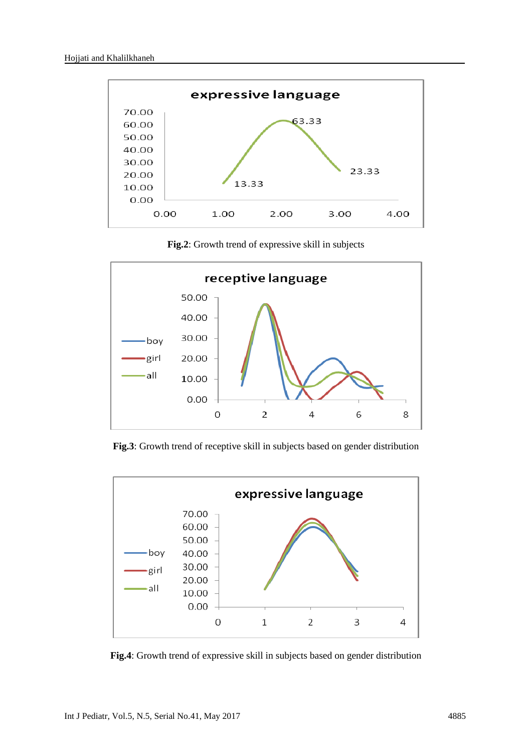

**Fig.2**: Growth trend of expressive skill in subjects



**Fig.3**: Growth trend of receptive skill in subjects based on gender distribution



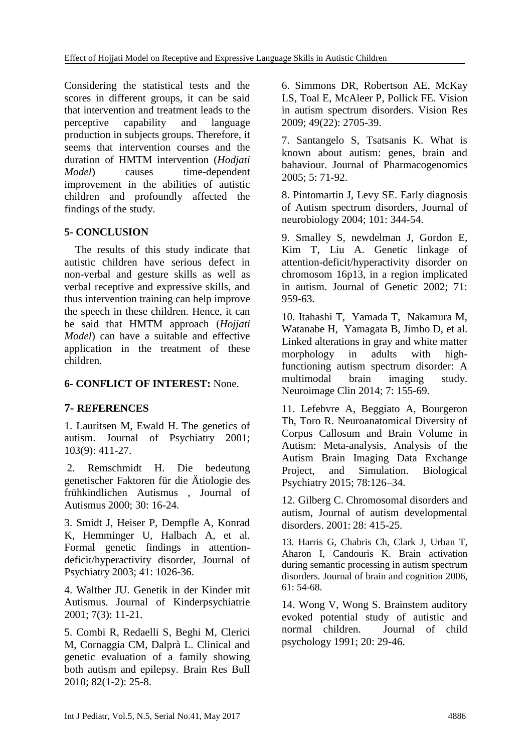Considering the statistical tests and the scores in different groups, it can be said that intervention and treatment leads to the perceptive capability and language production in subjects groups. Therefore, it seems that intervention courses and the duration of HMTM intervention (*Hodjati Model*) causes time-dependent improvement in the abilities of autistic children and profoundly affected the findings of the study.

### **5- CONCLUSION**

 The results of this study indicate that autistic children have serious defect in non-verbal and gesture skills as well as verbal receptive and expressive skills, and thus intervention training can help improve the speech in these children. Hence, it can be said that HMTM approach (*Hojjati Model*) can have a suitable and effective application in the treatment of these children.

### **6- CONFLICT OF INTEREST:** None.

### **7- REFERENCES**

1. Lauritsen M, Ewald H. The genetics of autism. Journal of Psychiatry 2001; 103(9): 411-27.

2. Remschmidt H. Die bedeutung genetischer Faktoren für die Ätiologie des frühkindlichen Autismus , Journal of Autismus 2000; 30: 16-24.

3. Smidt J, Heiser P, Dempfle A, Konrad K, Hemminger U, Halbach A, et al. Formal genetic findings in attentiondeficit/hyperactivity disorder, Journal of Psychiatry 2003; 41: 1026-36.

4. Walther JU. Genetik in der Kinder mit Autismus. Journal of Kinderpsychiatrie 2001; 7(3): 11-21.

5. [Combi R,](https://www.ncbi.nlm.nih.gov/pubmed/?term=Combi%20R%5BAuthor%5D&cauthor=true&cauthor_uid=20152887) [Redaelli S,](https://www.ncbi.nlm.nih.gov/pubmed/?term=Redaelli%20S%5BAuthor%5D&cauthor=true&cauthor_uid=20152887) [Beghi M,](https://www.ncbi.nlm.nih.gov/pubmed/?term=Beghi%20M%5BAuthor%5D&cauthor=true&cauthor_uid=20152887) [Clerici](https://www.ncbi.nlm.nih.gov/pubmed/?term=Clerici%20M%5BAuthor%5D&cauthor=true&cauthor_uid=20152887)  [M,](https://www.ncbi.nlm.nih.gov/pubmed/?term=Clerici%20M%5BAuthor%5D&cauthor=true&cauthor_uid=20152887) [Cornaggia CM,](https://www.ncbi.nlm.nih.gov/pubmed/?term=Cornaggia%20CM%5BAuthor%5D&cauthor=true&cauthor_uid=20152887) [Dalprà L.](https://www.ncbi.nlm.nih.gov/pubmed/?term=Dalpr%C3%A0%20L%5BAuthor%5D&cauthor=true&cauthor_uid=20152887) Clinical and genetic evaluation of a family showing both autism and epilepsy. [Brain Res Bull](https://www.ncbi.nlm.nih.gov/pubmed/?term=Dalpr%2C+Clinical+and+genetic+evaluation+of+a+family+showing+both+autism+and+epilepsy%2C) 2010; 82(1-2): 25-8.

6. [Simmons DR,](https://www.ncbi.nlm.nih.gov/pubmed/?term=Simmons%20DR%5BAuthor%5D&cauthor=true&cauthor_uid=19682485) [Robertson AE,](https://www.ncbi.nlm.nih.gov/pubmed/?term=Robertson%20AE%5BAuthor%5D&cauthor=true&cauthor_uid=19682485) [McKay](https://www.ncbi.nlm.nih.gov/pubmed/?term=McKay%20LS%5BAuthor%5D&cauthor=true&cauthor_uid=19682485)  [LS,](https://www.ncbi.nlm.nih.gov/pubmed/?term=McKay%20LS%5BAuthor%5D&cauthor=true&cauthor_uid=19682485) [Toal E,](https://www.ncbi.nlm.nih.gov/pubmed/?term=Toal%20E%5BAuthor%5D&cauthor=true&cauthor_uid=19682485) [McAleer P,](https://www.ncbi.nlm.nih.gov/pubmed/?term=McAleer%20P%5BAuthor%5D&cauthor=true&cauthor_uid=19682485) [Pollick FE.](https://www.ncbi.nlm.nih.gov/pubmed/?term=Pollick%20FE%5BAuthor%5D&cauthor=true&cauthor_uid=19682485) Vision in autism spectrum disorders. [Vision Res](https://www.ncbi.nlm.nih.gov/pubmed/?term=Simmons%2C+d.+R.%2CRobertson%2CA.+E%2C+McKay%2C+L.+S.%2C+Toal%2C+E.%2C+McAleer%2C+P) 2009; 49(22): 2705-39.

7. Santangelo S, Tsatsanis K. What is known about autism: genes, brain and bahaviour. Journal of Pharmacogenomics 2005; 5: 71-92.

8. Pintomartin J, Levy SE. Early diagnosis of Autism spectrum disorders, Journal of neurobiology 2004; 101: 344-54.

9. Smalley S, newdelman J, Gordon E, Kim T, Liu A. Genetic linkage of attention-deficit/hyperactivity disorder on chromosom 16p13, in a region implicated in autism. Journal of Genetic 2002; 71: 959-63.

10. Itahashi T, Yamada T, Nakamura M, Watanabe H, Yamagata B, Jimbo D, et al. Linked alterations in gray and white matter morphology in adults with highfunctioning autism spectrum disorder: A multimodal brain imaging study. [Neuroimage Clin](https://www.ncbi.nlm.nih.gov/pubmed/25610777) 2014; 7: 155-69.

11. Lefebvre A, Beggiato A, Bourgeron Th, Toro R. Neuroanatomical Diversity of Corpus Callosum and Brain Volume in Autism: Meta-analysis, Analysis of the Autism Brain Imaging Data Exchange Project, and Simulation. Biological Psychiatry 2015; 78:126–34.

12. Gilberg C. Chromosomal disorders and autism, Journal of autism developmental disorders.  $2001 \cdot 28 \cdot 415 - 25$ .

13. Harris G, Chabris Ch, Clark J, Urban T, Aharon I, Candouris K. Brain activation during semantic processing in autism spectrum disorders. Journal of brain and cognition 2006, 61: 54-68.

14. Wong V, Wong S. Brainstem auditory evoked potential study of autistic and normal children. Journal of child psychology 1991; 20: 29-46.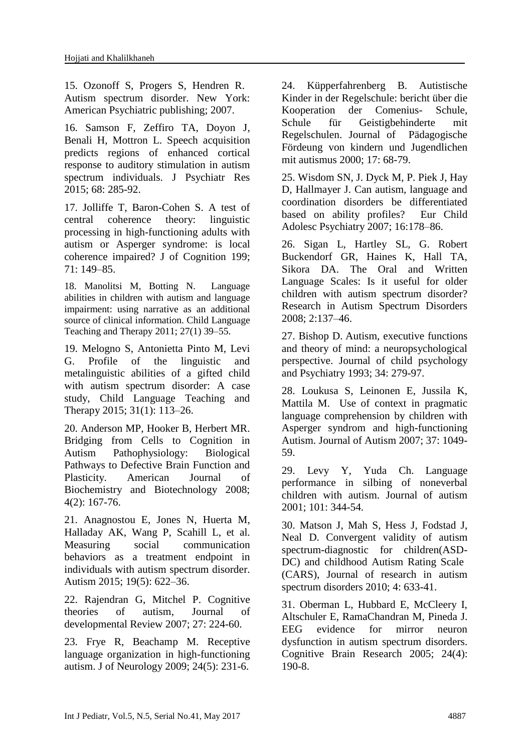15. Ozonoff S, Progers S, Hendren R. Autism spectrum disorder. New York: American Psychiatric publishing; 2007.

16. [Samson F,](https://www.ncbi.nlm.nih.gov/pubmed/?term=Samson%20F%5BAuthor%5D&cauthor=true&cauthor_uid=26037888) [Zeffiro TA,](https://www.ncbi.nlm.nih.gov/pubmed/?term=Zeffiro%20TA%5BAuthor%5D&cauthor=true&cauthor_uid=26037888) [Doyon J,](https://www.ncbi.nlm.nih.gov/pubmed/?term=Doyon%20J%5BAuthor%5D&cauthor=true&cauthor_uid=26037888) [Benali H,](https://www.ncbi.nlm.nih.gov/pubmed/?term=Benali%20H%5BAuthor%5D&cauthor=true&cauthor_uid=26037888) [Mottron L.](https://www.ncbi.nlm.nih.gov/pubmed/?term=Mottron%20L%5BAuthor%5D&cauthor=true&cauthor_uid=26037888) Speech acquisition predicts regions of enhanced cortical response to auditory stimulation in autism spectrum individuals. [J Psychiatr Res](https://www.ncbi.nlm.nih.gov/pubmed/?term=Speech+acquisition+predicts+regions+of+enhanced+cortical+response+to+auditory+stimulation+in+autism+spectrum) 2015; 68: 285-92.

17. Jolliffe T, Baron-Cohen S. A test of central coherence theory: linguistic processing in high-functioning adults with autism or Asperger syndrome: is local coherence impaired? J of Cognition 199; 71: 149–85.

18. Manolitsi M, Botting N. Language abilities in children with autism and language impairment: using narrative as an additional source of clinical information. Child Language Teaching and Therapy 2011; 27(1) 39–55.

19. Melogno S, Antonietta Pinto M, Levi G. Profile of the linguistic and metalinguistic abilities of a gifted child with autism spectrum disorder: A case study, Child Language Teaching and Therapy 2015; 31(1): 113–26.

20. Anderson MP, Hooker B, Herbert MR. Bridging from Cells to Cognition in Autism Pathophysiology: Biological Pathways to Defective Brain Function and Plasticity. American Journal of Biochemistry and Biotechnology 2008; 4(2): 167-76.

21. [Anagnostou E,](https://www.ncbi.nlm.nih.gov/pubmed/?term=Anagnostou%20E%5BAuthor%5D&cauthor=true&cauthor_uid=25096930) [Jones N,](https://www.ncbi.nlm.nih.gov/pubmed/?term=Jones%20N%5BAuthor%5D&cauthor=true&cauthor_uid=25096930) [Huerta M,](https://www.ncbi.nlm.nih.gov/pubmed/?term=Huerta%20M%5BAuthor%5D&cauthor=true&cauthor_uid=25096930) [Halladay AK,](https://www.ncbi.nlm.nih.gov/pubmed/?term=Halladay%20AK%5BAuthor%5D&cauthor=true&cauthor_uid=25096930) [Wang P,](https://www.ncbi.nlm.nih.gov/pubmed/?term=Wang%20P%5BAuthor%5D&cauthor=true&cauthor_uid=25096930) [Scahill L,](https://www.ncbi.nlm.nih.gov/pubmed/?term=Scahill%20L%5BAuthor%5D&cauthor=true&cauthor_uid=25096930) et al. Measuring social communication behaviors as a treatment endpoint in individuals with autism spectrum disorder. Autism 2015; 19(5): 622–36.

22. Rajendran G, Mitchel P. Cognitive theories of autism, Journal of developmental Review 2007; 27: 224-60.

23. Frye R, Beachamp M. Receptive language organization in high-functioning autism. J of Neurology 2009; 24(5): 231-6.

24. Küpperfahrenberg B. Autistische Kinder in der Regelschule: bericht über die Kooperation der Comenius- Schule, Schule für Geistigbehinderte mit Regelschulen. Journal of Pädagogische Fördeung von kindern und Jugendlichen mit autismus 2000; 17: 68-79.

25. Wisdom SN, J. Dyck M, P. Piek J, Hay D, Hallmayer J. Can autism, language and coordination disorders be differentiated based on ability profiles? Eur Child Adolesc Psychiatry 2007; 16:178–86.

26. Sigan L, Hartley SL, G. Robert Buckendorf GR, Haines K, Hall TA, Sikora DA. The Oral and Written Language Scales: Is it useful for older children with autism spectrum disorder? Research in Autism Spectrum Disorders 2008; 2:137–46.

27. Bishop D. Autism, executive functions and theory of mind: a neuropsychological perspective. Journal of child psychology and Psychiatry 1993; 34: 279-97.

28. Loukusa S, Leinonen E, Jussila K, Mattila M. Use of context in pragmatic language comprehension by children with Asperger syndrom and high-functioning Autism. Journal of Autism 2007; 37: 1049- 59.

29. Levy Y, Yuda Ch. Language performance in silbing of noneverbal children with autism. Journal of autism 2001; 101: 344-54.

30. Matson J, Mah S, Hess J, Fodstad J, Neal D. Convergent validity of autism spectrum-diagnostic for children(ASD-DC) and childhood Autism Rating Scale (CARS), Journal of research in autism spectrum disorders 2010; 4: 633-41.

31. Oberman L, Hubbard E, McCleery I, Altschuler E, RamaChandran M, Pineda J. EEG evidence for mirror neuron dysfunction in autism spectrum disorders. Cognitive Brain Research 2005; 24(4): 190-8.